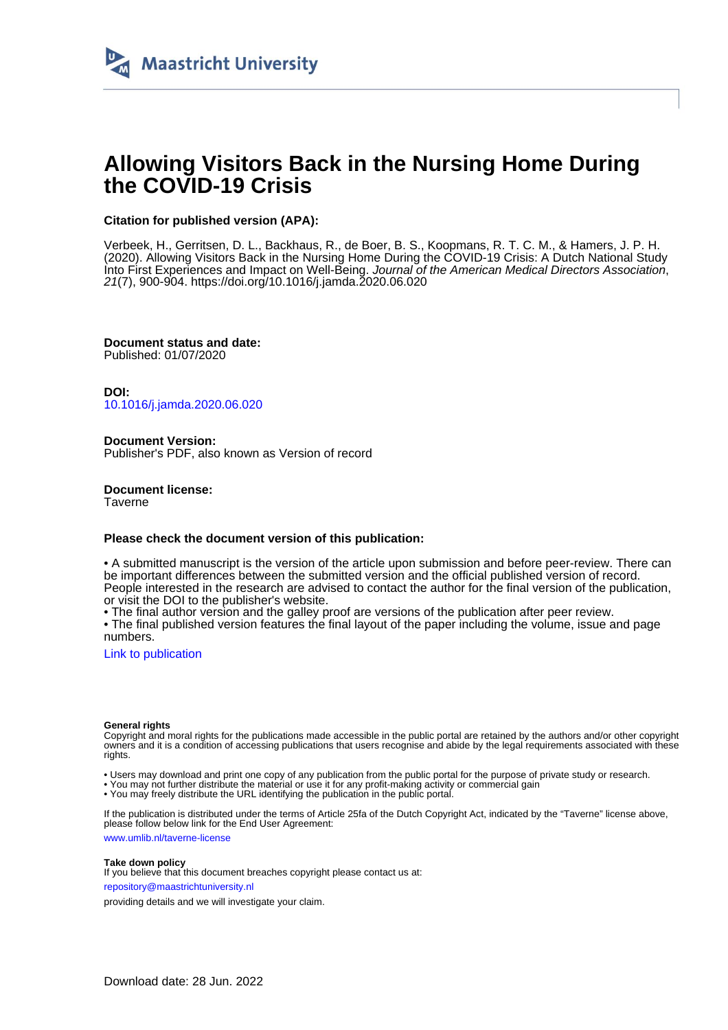

# **Allowing Visitors Back in the Nursing Home During the COVID-19 Crisis**

# **Citation for published version (APA):**

Verbeek, H., Gerritsen, D. L., Backhaus, R., de Boer, B. S., Koopmans, R. T. C. M., & Hamers, J. P. H. (2020). Allowing Visitors Back in the Nursing Home During the COVID-19 Crisis: A Dutch National Study Into First Experiences and Impact on Well-Being. Journal of the American Medical Directors Association, 21(7), 900-904.<https://doi.org/10.1016/j.jamda.2020.06.020>

**Document status and date:** Published: 01/07/2020

**DOI:** [10.1016/j.jamda.2020.06.020](https://doi.org/10.1016/j.jamda.2020.06.020)

**Document Version:** Publisher's PDF, also known as Version of record

**Document license: Taverne** 

# **Please check the document version of this publication:**

• A submitted manuscript is the version of the article upon submission and before peer-review. There can be important differences between the submitted version and the official published version of record. People interested in the research are advised to contact the author for the final version of the publication, or visit the DOI to the publisher's website.

• The final author version and the galley proof are versions of the publication after peer review.

• The final published version features the final layout of the paper including the volume, issue and page numbers.

[Link to publication](https://cris.maastrichtuniversity.nl/en/publications/ca1365fb-8a9b-4c45-86ee-28878a9f503c)

### **General rights**

Copyright and moral rights for the publications made accessible in the public portal are retained by the authors and/or other copyright owners and it is a condition of accessing publications that users recognise and abide by the legal requirements associated with these rights.

• Users may download and print one copy of any publication from the public portal for the purpose of private study or research.

• You may not further distribute the material or use it for any profit-making activity or commercial gain

• You may freely distribute the URL identifying the publication in the public portal.

If the publication is distributed under the terms of Article 25fa of the Dutch Copyright Act, indicated by the "Taverne" license above, please follow below link for the End User Agreement:

www.umlib.nl/taverne-license

# **Take down policy**

If you believe that this document breaches copyright please contact us at: repository@maastrichtuniversity.nl

providing details and we will investigate your claim.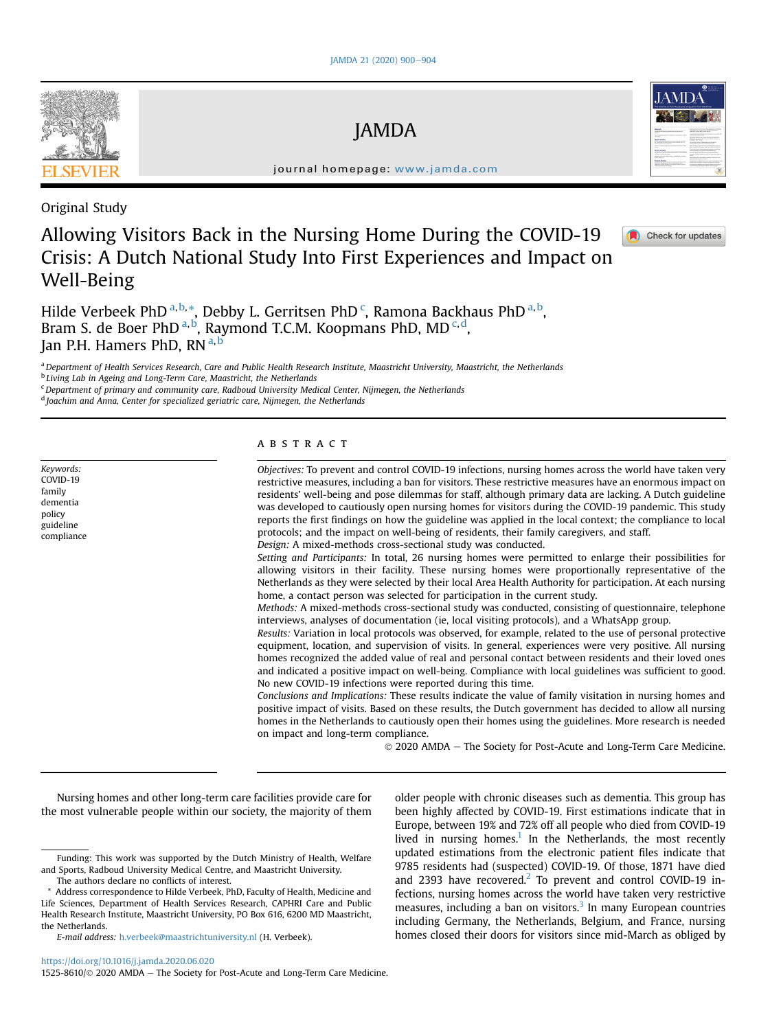# JAMDA

journal homepage: [www.jamda.com](http://www.jamda.com)

Original Study

# Allowing Visitors Back in the Nursing Home During the COVID-19 Crisis: A Dutch National Study Into First Experiences and Impact on Well-Being

Hilde Verbeek PhD <sup>[a](#page-1-0), [b](#page-1-1),</sup> [\\*,](#page-1-2) Debby L. Gerritsen PhD <sup>[c](#page-1-3)</sup>, Ramona Backhaus PhD <sup>a, b</sup>, Br[a](#page-1-0)m S. de Boer PhD<sup>a,[b](#page-1-1)</sup>, Raymond T.C.M. Koopmans PhD, MD<sup>[c](#page-1-3),[d](#page-1-4)</sup>, J[a](#page-1-0)n P.H. Hamers PhD, RN<sup>a,[b](#page-1-1)</sup>

<span id="page-1-0"></span>a Department of Health Services Research, Care and Public Health Research Institute, Maastricht University, Maastricht, the Netherlands

<span id="page-1-1"></span><sup>b</sup> Living Lab in Ageing and Long-Term Care, Maastricht, the Netherlands

<span id="page-1-3"></span><sup>c</sup> Department of primary and community care, Radboud University Medical Center, Nijmegen, the Netherlands

<span id="page-1-4"></span><sup>d</sup> Joachim and Anna, Center for specialized geriatric care, Nijmegen, the Netherlands

Keywords: COVID-19 family dementia policy guideline compliance

# ABSTRACT

Objectives: To prevent and control COVID-19 infections, nursing homes across the world have taken very restrictive measures, including a ban for visitors. These restrictive measures have an enormous impact on residents' well-being and pose dilemmas for staff, although primary data are lacking. A Dutch guideline was developed to cautiously open nursing homes for visitors during the COVID-19 pandemic. This study reports the first findings on how the guideline was applied in the local context; the compliance to local protocols; and the impact on well-being of residents, their family caregivers, and staff. Design: A mixed-methods cross-sectional study was conducted.

Setting and Participants: In total, 26 nursing homes were permitted to enlarge their possibilities for allowing visitors in their facility. These nursing homes were proportionally representative of the Netherlands as they were selected by their local Area Health Authority for participation. At each nursing home, a contact person was selected for participation in the current study.

Methods: A mixed-methods cross-sectional study was conducted, consisting of questionnaire, telephone interviews, analyses of documentation (ie, local visiting protocols), and a WhatsApp group.

Results: Variation in local protocols was observed, for example, related to the use of personal protective equipment, location, and supervision of visits. In general, experiences were very positive. All nursing homes recognized the added value of real and personal contact between residents and their loved ones and indicated a positive impact on well-being. Compliance with local guidelines was sufficient to good. No new COVID-19 infections were reported during this time.

Conclusions and Implications: These results indicate the value of family visitation in nursing homes and positive impact of visits. Based on these results, the Dutch government has decided to allow all nursing homes in the Netherlands to cautiously open their homes using the guidelines. More research is needed on impact and long-term compliance.

 $© 2020$  AMDA - The Society for Post-Acute and Long-Term Care Medicine.

Nursing homes and other long-term care facilities provide care for the most vulnerable people within our society, the majority of them

older people with chronic diseases such as dementia. This group has been highly affected by COVID-19. First estimations indicate that in Europe, between 19% and 72% off all people who died from COVID-19 lived in nursing homes.<sup>[1](#page-5-0)</sup> In the Netherlands, the most recently updated estimations from the electronic patient files indicate that 9785 residents had (suspected) COVID-19. Of those, 1871 have died and [2](#page-5-1)393 have recovered.<sup>2</sup> To prevent and control COVID-19 infections, nursing homes across the world have taken very restrictive measures, including a ban on visitors. $3$  In many European countries including Germany, the Netherlands, Belgium, and France, nursing homes closed their doors for visitors since mid-March as obliged by







Funding: This work was supported by the Dutch Ministry of Health, Welfare and Sports, Radboud University Medical Centre, and Maastricht University.

The authors declare no conflicts of interest.

<span id="page-1-2"></span>Address correspondence to Hilde Verbeek, PhD, Faculty of Health, Medicine and Life Sciences, Department of Health Services Research, CAPHRI Care and Public Health Research Institute, Maastricht University, PO Box 616, 6200 MD Maastricht, the Netherlands.

E-mail address: [h.verbeek@maastrichtuniversity.nl](mailto:h.verbeek@maastrichtuniversity.nl) (H. Verbeek).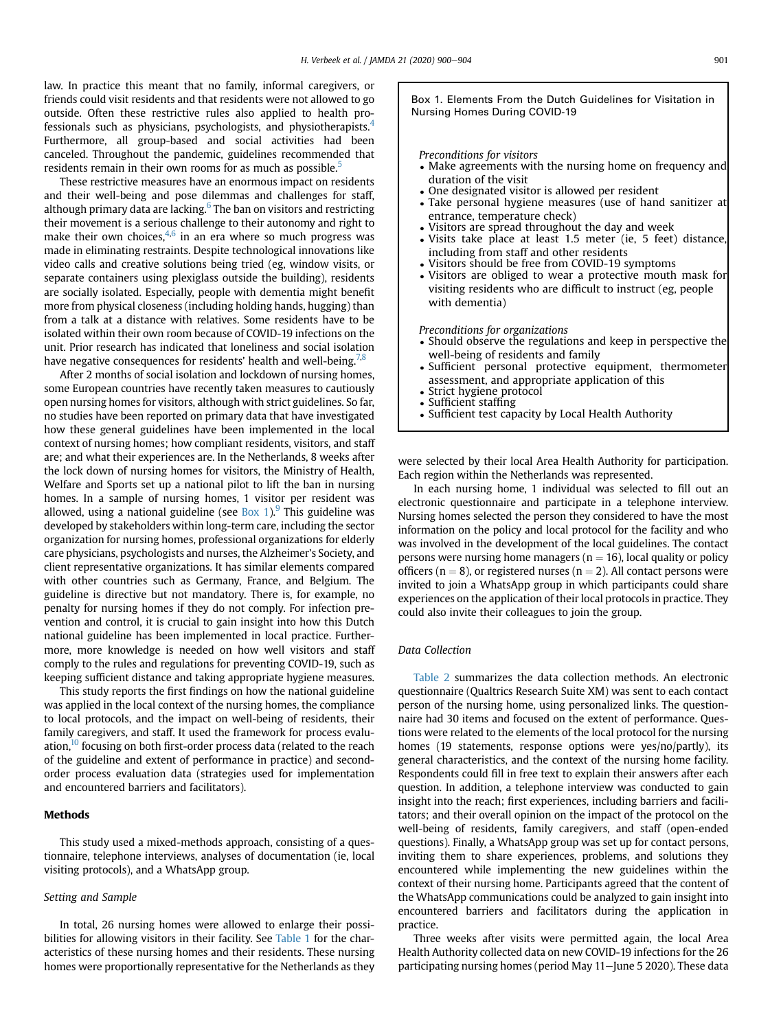law. In practice this meant that no family, informal caregivers, or friends could visit residents and that residents were not allowed to go outside. Often these restrictive rules also applied to health professionals such as physicians, psychologists, and physiotherapists[.4](#page-5-3) Furthermore, all group-based and social activities had been canceled. Throughout the pandemic, guidelines recommended that residents remain in their own rooms for as much as possible.<sup>[5](#page-5-4)</sup>

These restrictive measures have an enormous impact on residents and their well-being and pose dilemmas and challenges for staff, although primary data are lacking.<sup>6</sup> The ban on visitors and restricting their movement is a serious challenge to their autonomy and right to make their own choices, $4,6$  $4,6$  in an era where so much progress was made in eliminating restraints. Despite technological innovations like video calls and creative solutions being tried (eg, window visits, or separate containers using plexiglass outside the building), residents are socially isolated. Especially, people with dementia might benefit more from physical closeness (including holding hands, hugging) than from a talk at a distance with relatives. Some residents have to be isolated within their own room because of COVID-19 infections on the unit. Prior research has indicated that loneliness and social isolation have negative consequences for residents' health and well-being.<sup>[7,](#page-5-6)[8](#page-5-7)</sup>

After 2 months of social isolation and lockdown of nursing homes, some European countries have recently taken measures to cautiously open nursing homes for visitors, although with strict guidelines. So far, no studies have been reported on primary data that have investigated how these general guidelines have been implemented in the local context of nursing homes; how compliant residents, visitors, and staff are; and what their experiences are. In the Netherlands, 8 weeks after the lock down of nursing homes for visitors, the Ministry of Health, Welfare and Sports set up a national pilot to lift the ban in nursing homes. In a sample of nursing homes, 1 visitor per resident was allowed, using a national guideline (see Box 1). This guideline was developed by stakeholders within long-term care, including the sector organization for nursing homes, professional organizations for elderly care physicians, psychologists and nurses, the Alzheimer's Society, and client representative organizations. It has similar elements compared with other countries such as Germany, France, and Belgium. The guideline is directive but not mandatory. There is, for example, no penalty for nursing homes if they do not comply. For infection prevention and control, it is crucial to gain insight into how this Dutch national guideline has been implemented in local practice. Furthermore, more knowledge is needed on how well visitors and staff comply to the rules and regulations for preventing COVID-19, such as keeping sufficient distance and taking appropriate hygiene measures.

This study reports the first findings on how the national guideline was applied in the local context of the nursing homes, the compliance to local protocols, and the impact on well-being of residents, their family caregivers, and staff. It used the framework for process evaluation, $10$  focusing on both first-order process data (related to the reach of the guideline and extent of performance in practice) and secondorder process evaluation data (strategies used for implementation and encountered barriers and facilitators).

## Methods

This study used a mixed-methods approach, consisting of a questionnaire, telephone interviews, analyses of documentation (ie, local visiting protocols), and a WhatsApp group.

#### Setting and Sample

In total, 26 nursing homes were allowed to enlarge their possibilities for allowing visitors in their facility. See [Table 1](#page-3-0) for the characteristics of these nursing homes and their residents. These nursing homes were proportionally representative for the Netherlands as they Box 1. Elements From the Dutch Guidelines for Visitation in Nursing Homes During COVID-19

#### Preconditions for visitors

- Make agreements with the nursing home on frequency and duration of the visit
- One designated visitor is allowed per resident
- Take personal hygiene measures (use of hand sanitizer at entrance, temperature check)
- Visitors are spread throughout the day and week
- Visits take place at least 1.5 meter (ie, 5 feet) distance, including from staff and other residents
- Visitors should be free from COVID-19 symptoms
- Visitors are obliged to wear a protective mouth mask for visiting residents who are difficult to instruct (eg, people with dementia)

#### Preconditions for organizations

- Should observe the regulations and keep in perspective the well-being of residents and family
- Sufficient personal protective equipment, thermometer assessment, and appropriate application of this
- Strict hygiene protocol
- Sufficient staffing
- Sufficient test capacity by Local Health Authority

were selected by their local Area Health Authority for participation. Each region within the Netherlands was represented.

In each nursing home, 1 individual was selected to fill out an electronic questionnaire and participate in a telephone interview. Nursing homes selected the person they considered to have the most information on the policy and local protocol for the facility and who was involved in the development of the local guidelines. The contact persons were nursing home managers ( $n = 16$ ), local quality or policy officers ( $n = 8$ ), or registered nurses ( $n = 2$ ). All contact persons were invited to join a WhatsApp group in which participants could share experiences on the application of their local protocols in practice. They could also invite their colleagues to join the group.

# Data Collection

[Table 2](#page-3-1) summarizes the data collection methods. An electronic questionnaire (Qualtrics Research Suite XM) was sent to each contact person of the nursing home, using personalized links. The questionnaire had 30 items and focused on the extent of performance. Questions were related to the elements of the local protocol for the nursing homes (19 statements, response options were yes/no/partly), its general characteristics, and the context of the nursing home facility. Respondents could fill in free text to explain their answers after each question. In addition, a telephone interview was conducted to gain insight into the reach; first experiences, including barriers and facilitators; and their overall opinion on the impact of the protocol on the well-being of residents, family caregivers, and staff (open-ended questions). Finally, a WhatsApp group was set up for contact persons, inviting them to share experiences, problems, and solutions they encountered while implementing the new guidelines within the context of their nursing home. Participants agreed that the content of the WhatsApp communications could be analyzed to gain insight into encountered barriers and facilitators during the application in practice.

Three weeks after visits were permitted again, the local Area Health Authority collected data on new COVID-19 infections for the 26 participating nursing homes (period May 11-June 5 2020). These data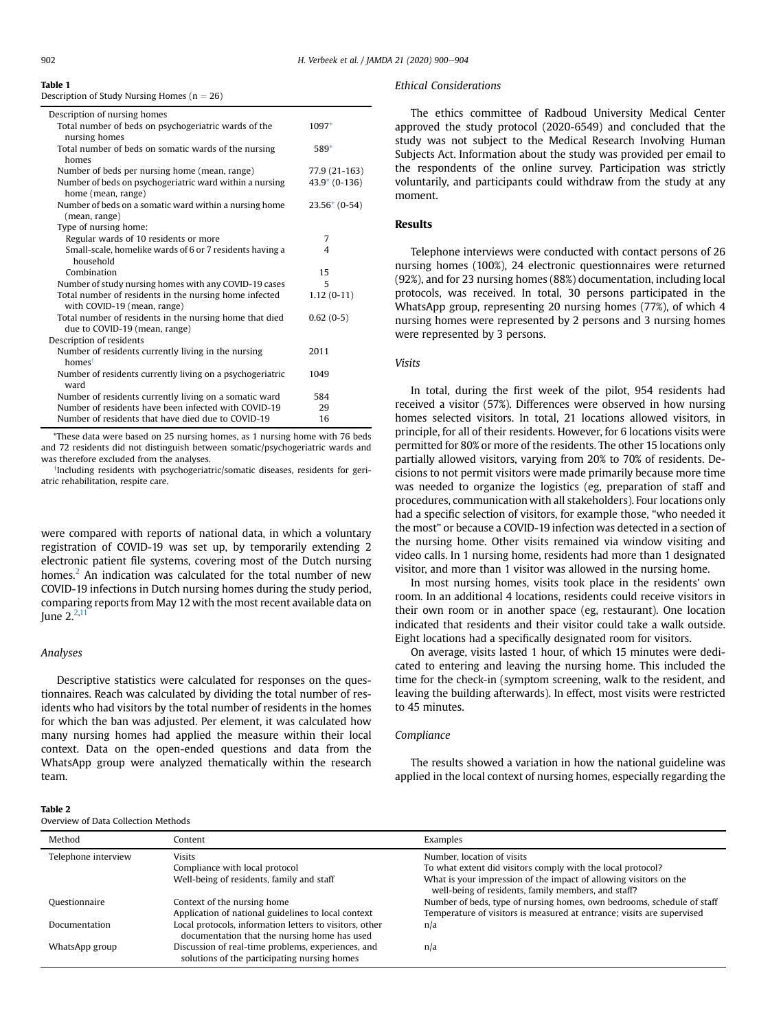#### <span id="page-3-0"></span>Table 1

Description of Study Nursing Homes ( $n = 26$ )

| Description of nursing homes                              |                |
|-----------------------------------------------------------|----------------|
| Total number of beds on psychogeriatric wards of the      | 1097*          |
| nursing homes                                             |                |
| Total number of beds on somatic wards of the nursing      | 589*           |
| homes                                                     |                |
| Number of beds per nursing home (mean, range)             | 77.9 (21-163)  |
| Number of beds on psychogeriatric ward within a nursing   | $43.9*(0-136)$ |
| home (mean, range)                                        |                |
| Number of beds on a somatic ward within a nursing home    | $23.56*(0-54)$ |
| (mean, range)                                             |                |
| Type of nursing home:                                     |                |
| Regular wards of 10 residents or more                     | 7              |
| Small-scale, homelike wards of 6 or 7 residents having a  | 4              |
| household                                                 |                |
| Combination                                               | 15             |
| Number of study nursing homes with any COVID-19 cases     | 5              |
| Total number of residents in the nursing home infected    | $1.12(0-11)$   |
| with COVID-19 (mean, range)                               |                |
| Total number of residents in the nursing home that died   | $0.62(0-5)$    |
| due to COVID-19 (mean, range)                             |                |
| Description of residents                                  |                |
| Number of residents currently living in the nursing       | 2011           |
| homest                                                    |                |
| Number of residents currently living on a psychogeriatric | 1049           |
| ward                                                      |                |
| Number of residents currently living on a somatic ward    | 584            |
| Number of residents have been infected with COVID-19      | 29             |
| Number of residents that have died due to COVID-19        | 16             |

\*These data were based on 25 nursing homes, as 1 nursing home with 76 beds and 72 residents did not distinguish between somatic/psychogeriatric wards and was therefore excluded from the analyses.

<sup>†</sup>Including residents with psychogeriatric/somatic diseases, residents for geriatric rehabilitation, respite care.

were compared with reports of national data, in which a voluntary registration of COVID-19 was set up, by temporarily extending 2 electronic patient file systems, covering most of the Dutch nursing homes.<sup>2</sup> An indication was calculated for the total number of new COVID-19 infections in Dutch nursing homes during the study period, comparing reports from May 12 with the most recent available data on June  $2^{2,11}$  $2^{2,11}$  $2^{2,11}$  $2^{2,11}$ 

# Analyses

Descriptive statistics were calculated for responses on the questionnaires. Reach was calculated by dividing the total number of residents who had visitors by the total number of residents in the homes for which the ban was adjusted. Per element, it was calculated how many nursing homes had applied the measure within their local context. Data on the open-ended questions and data from the WhatsApp group were analyzed thematically within the research team.

#### <span id="page-3-1"></span>Table 2

### Ethical Considerations

The ethics committee of Radboud University Medical Center approved the study protocol (2020-6549) and concluded that the study was not subject to the Medical Research Involving Human Subjects Act. Information about the study was provided per email to the respondents of the online survey. Participation was strictly voluntarily, and participants could withdraw from the study at any moment.

# Results

Telephone interviews were conducted with contact persons of 26 nursing homes (100%), 24 electronic questionnaires were returned (92%), and for 23 nursing homes (88%) documentation, including local protocols, was received. In total, 30 persons participated in the WhatsApp group, representing 20 nursing homes (77%), of which 4 nursing homes were represented by 2 persons and 3 nursing homes were represented by 3 persons.

### Visits

In total, during the first week of the pilot, 954 residents had received a visitor (57%). Differences were observed in how nursing homes selected visitors. In total, 21 locations allowed visitors, in principle, for all of their residents. However, for 6 locations visits were permitted for 80% or more of the residents. The other 15 locations only partially allowed visitors, varying from 20% to 70% of residents. Decisions to not permit visitors were made primarily because more time was needed to organize the logistics (eg, preparation of staff and procedures, communication with all stakeholders). Four locations only had a specific selection of visitors, for example those, "who needed it the most" or because a COVID-19 infection was detected in a section of the nursing home. Other visits remained via window visiting and video calls. In 1 nursing home, residents had more than 1 designated visitor, and more than 1 visitor was allowed in the nursing home.

In most nursing homes, visits took place in the residents' own room. In an additional 4 locations, residents could receive visitors in their own room or in another space (eg, restaurant). One location indicated that residents and their visitor could take a walk outside. Eight locations had a specifically designated room for visitors.

On average, visits lasted 1 hour, of which 15 minutes were dedicated to entering and leaving the nursing home. This included the time for the check-in (symptom screening, walk to the resident, and leaving the building afterwards). In effect, most visits were restricted to 45 minutes.

### Compliance

The results showed a variation in how the national guideline was applied in the local context of nursing homes, especially regarding the

| Overview of Data Collection Methods |                                                                                                         |                                                                                                                                                  |  |
|-------------------------------------|---------------------------------------------------------------------------------------------------------|--------------------------------------------------------------------------------------------------------------------------------------------------|--|
| Method                              | Content                                                                                                 | Examples                                                                                                                                         |  |
| Telephone interview                 | <b>Visits</b><br>Compliance with local protocol                                                         | Number, location of visits<br>To what extent did visitors comply with the local protocol?                                                        |  |
|                                     | Well-being of residents, family and staff                                                               | What is your impression of the impact of allowing visitors on the<br>well-being of residents, family members, and staff?                         |  |
| Questionnaire                       | Context of the nursing home<br>Application of national guidelines to local context                      | Number of beds, type of nursing homes, own bedrooms, schedule of staff<br>Temperature of visitors is measured at entrance; visits are supervised |  |
| Documentation                       | Local protocols, information letters to visitors, other<br>documentation that the nursing home has used | n/a                                                                                                                                              |  |
| WhatsApp group                      | Discussion of real-time problems, experiences, and<br>solutions of the participating nursing homes      | n/a                                                                                                                                              |  |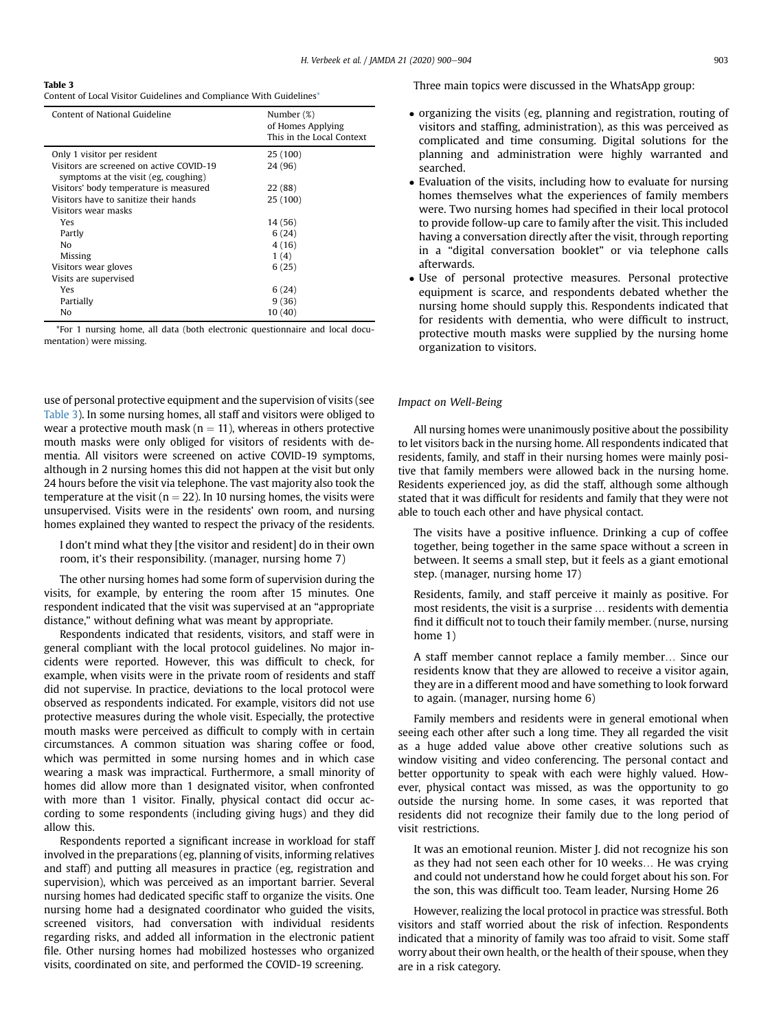<span id="page-4-0"></span>Table 3

Content of Local Visitor Guidelines and Compliance With Guidelines\*

| Content of National Guideline                                                    | Number (%)<br>of Homes Applying<br>This in the Local Context |
|----------------------------------------------------------------------------------|--------------------------------------------------------------|
| Only 1 visitor per resident                                                      | 25 (100)                                                     |
| Visitors are screened on active COVID-19<br>symptoms at the visit (eg, coughing) | 24 (96)                                                      |
| Visitors' body temperature is measured                                           | 22 (88)                                                      |
| Visitors have to sanitize their hands                                            | 25 (100)                                                     |
| Visitors wear masks                                                              |                                                              |
| Yes                                                                              | 14 (56)                                                      |
| Partly                                                                           | 6(24)                                                        |
| N <sub>0</sub>                                                                   | 4(16)                                                        |
| Missing                                                                          | 1(4)                                                         |
| Visitors wear gloves                                                             | 6(25)                                                        |
| Visits are supervised                                                            |                                                              |
| Yes                                                                              | 6(24)                                                        |
| Partially                                                                        | 9(36)                                                        |
| No                                                                               | 10(40)                                                       |

\*For 1 nursing home, all data (both electronic questionnaire and local documentation) were missing.

use of personal protective equipment and the supervision of visits (see [Table 3](#page-4-0)). In some nursing homes, all staff and visitors were obliged to wear a protective mouth mask ( $n = 11$ ), whereas in others protective mouth masks were only obliged for visitors of residents with dementia. All visitors were screened on active COVID-19 symptoms, although in 2 nursing homes this did not happen at the visit but only 24 hours before the visit via telephone. The vast majority also took the temperature at the visit ( $n = 22$ ). In 10 nursing homes, the visits were unsupervised. Visits were in the residents' own room, and nursing homes explained they wanted to respect the privacy of the residents.

I don't mind what they [the visitor and resident] do in their own room, it's their responsibility. (manager, nursing home 7)

The other nursing homes had some form of supervision during the visits, for example, by entering the room after 15 minutes. One respondent indicated that the visit was supervised at an "appropriate distance," without defining what was meant by appropriate.

Respondents indicated that residents, visitors, and staff were in general compliant with the local protocol guidelines. No major incidents were reported. However, this was difficult to check, for example, when visits were in the private room of residents and staff did not supervise. In practice, deviations to the local protocol were observed as respondents indicated. For example, visitors did not use protective measures during the whole visit. Especially, the protective mouth masks were perceived as difficult to comply with in certain circumstances. A common situation was sharing coffee or food, which was permitted in some nursing homes and in which case wearing a mask was impractical. Furthermore, a small minority of homes did allow more than 1 designated visitor, when confronted with more than 1 visitor. Finally, physical contact did occur according to some respondents (including giving hugs) and they did allow this.

Respondents reported a significant increase in workload for staff involved in the preparations (eg, planning of visits, informing relatives and staff) and putting all measures in practice (eg, registration and supervision), which was perceived as an important barrier. Several nursing homes had dedicated specific staff to organize the visits. One nursing home had a designated coordinator who guided the visits, screened visitors, had conversation with individual residents regarding risks, and added all information in the electronic patient file. Other nursing homes had mobilized hostesses who organized visits, coordinated on site, and performed the COVID-19 screening.

Three main topics were discussed in the WhatsApp group:

- organizing the visits (eg, planning and registration, routing of visitors and staffing, administration), as this was perceived as complicated and time consuming. Digital solutions for the planning and administration were highly warranted and searched.
- Evaluation of the visits, including how to evaluate for nursing homes themselves what the experiences of family members were. Two nursing homes had specified in their local protocol to provide follow-up care to family after the visit. This included having a conversation directly after the visit, through reporting in a "digital conversation booklet" or via telephone calls afterwards.
- Use of personal protective measures. Personal protective equipment is scarce, and respondents debated whether the nursing home should supply this. Respondents indicated that for residents with dementia, who were difficult to instruct, protective mouth masks were supplied by the nursing home organization to visitors.

### Impact on Well-Being

All nursing homes were unanimously positive about the possibility to let visitors back in the nursing home. All respondents indicated that residents, family, and staff in their nursing homes were mainly positive that family members were allowed back in the nursing home. Residents experienced joy, as did the staff, although some although stated that it was difficult for residents and family that they were not able to touch each other and have physical contact.

The visits have a positive influence. Drinking a cup of coffee together, being together in the same space without a screen in between. It seems a small step, but it feels as a giant emotional step. (manager, nursing home 17)

Residents, family, and staff perceive it mainly as positive. For most residents, the visit is a surprise ... residents with dementia find it difficult not to touch their family member. (nurse, nursing home 1)

A staff member cannot replace a family member... Since our residents know that they are allowed to receive a visitor again, they are in a different mood and have something to look forward to again. (manager, nursing home 6)

Family members and residents were in general emotional when seeing each other after such a long time. They all regarded the visit as a huge added value above other creative solutions such as window visiting and video conferencing. The personal contact and better opportunity to speak with each were highly valued. However, physical contact was missed, as was the opportunity to go outside the nursing home. In some cases, it was reported that residents did not recognize their family due to the long period of visit restrictions.

It was an emotional reunion. Mister J. did not recognize his son as they had not seen each other for 10 weeks... He was crying and could not understand how he could forget about his son. For the son, this was difficult too. Team leader, Nursing Home 26

However, realizing the local protocol in practice was stressful. Both visitors and staff worried about the risk of infection. Respondents indicated that a minority of family was too afraid to visit. Some staff worry about their own health, or the health of their spouse, when they are in a risk category.